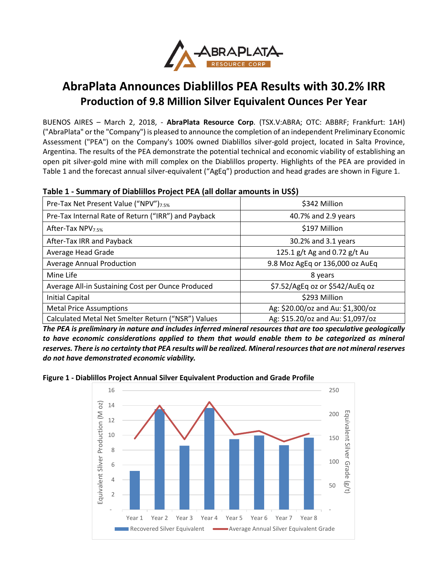

# **AbraPlata Announces Diablillos PEA Results with 30.2% IRR Production of 9.8 Million Silver Equivalent Ounces Per Year**

BUENOS AIRES – March 2, 2018, - **AbraPlata Resource Corp**. (TSX.V:ABRA; OTC: ABBRF; Frankfurt: 1AH) ("AbraPlata" or the "Company") is pleased to announce the completion of an independent Preliminary Economic Assessment ("PEA") on the Company's 100% owned Diablillos silver-gold project, located in Salta Province, Argentina. The results of the PEA demonstrate the potential technical and economic viability of establishing an open pit silver-gold mine with mill complex on the Diablillos property. Highlights of the PEA are provided in Table 1 and the forecast annual silver-equivalent ("AgEq") production and head grades are shown in Figure 1.

| Table 1 - Summary of Diabillios Project PEA (all dollar amounts in USS). |                                 |  |
|--------------------------------------------------------------------------|---------------------------------|--|
| Pre-Tax Net Present Value ("NPV") <sub>7.5%</sub>                        | \$342 Million                   |  |
| Pre-Tax Internal Rate of Return ("IRR") and Payback                      | 40.7% and 2.9 years             |  |
| After-Tax NPV <sub>7.5%</sub>                                            | \$197 Million                   |  |
| After-Tax IRR and Payback                                                | 30.2% and 3.1 years             |  |
| Average Head Grade                                                       | 125.1 g/t Ag and 0.72 g/t Au    |  |
| <b>Average Annual Production</b>                                         | 9.8 Moz AgEq or 136,000 oz AuEq |  |
| Mine Life                                                                | 8 years                         |  |
| Average All-in Sustaining Cost per Ounce Produced                        | \$7.52/AgEq oz or \$542/AuEq oz |  |

Metal Price Assumptions Ag: \$20.00/oz and Au: \$1,300/oz Calculated Metal Net Smelter Return ("NSR") Values Ag: \$15.20/oz and Au: \$1,097/oz

Initial Capital \$293 Million

# **Table 1 - Summary of Diablillos Project PEA (all dollar amounts in US\$)**

*The PEA is preliminary in nature and includes inferred mineral resources that are too speculative geologically to have economic considerations applied to them that would enable them to be categorized as mineral reserves. There is no certainty that PEA results will be realized. Mineral resources that are not mineral reserves do not have demonstrated economic viability.*

**Figure 1 - Diablillos Project Annual Silver Equivalent Production and Grade Profile**

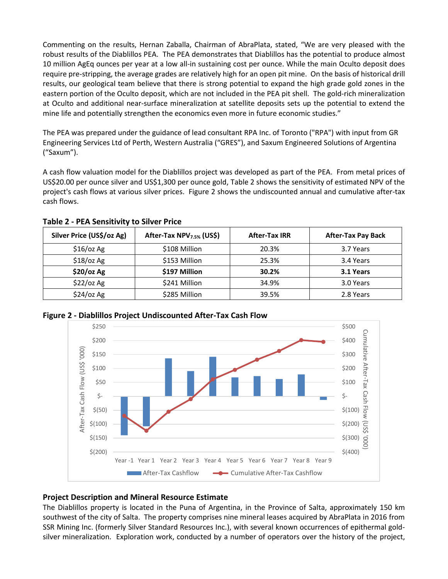Commenting on the results, Hernan Zaballa, Chairman of AbraPlata, stated, "We are very pleased with the robust results of the Diablillos PEA. The PEA demonstrates that Diablillos has the potential to produce almost 10 million AgEq ounces per year at a low all-in sustaining cost per ounce. While the main Oculto deposit does require pre-stripping, the average grades are relatively high for an open pit mine. On the basis of historical drill results, our geological team believe that there is strong potential to expand the high grade gold zones in the eastern portion of the Oculto deposit, which are not included in the PEA pit shell. The gold-rich mineralization at Oculto and additional near-surface mineralization at satellite deposits sets up the potential to extend the mine life and potentially strengthen the economics even more in future economic studies."

The PEA was prepared under the guidance of lead consultant RPA Inc. of Toronto ("RPA") with input from GR Engineering Services Ltd of Perth, Western Australia ("GRES"), and Saxum Engineered Solutions of Argentina ("Saxum").

A cash flow valuation model for the Diablillos project was developed as part of the PEA. From metal prices of US\$20.00 per ounce silver and US\$1,300 per ounce gold, Table 2 shows the sensitivity of estimated NPV of the project's cash flows at various silver prices. Figure 2 shows the undiscounted annual and cumulative after-tax cash flows.

| Silver Price (US\$/oz Ag) | After-Tax NPV <sub>7.5%</sub> (US\$) | <b>After-Tax IRR</b> | <b>After-Tax Pay Back</b> |
|---------------------------|--------------------------------------|----------------------|---------------------------|
| $$16$ /oz Ag              | \$108 Million                        | 20.3%                | 3.7 Years                 |
| $$18$ /oz Ag              | \$153 Million                        | 25.3%                | 3.4 Years                 |
| \$20/oz Ag                | \$197 Million                        | 30.2%                | 3.1 Years                 |
| \$22/oz Ag                | \$241 Million                        | 34.9%                | 3.0 Years                 |
| $$24$ /oz Ag              | \$285 Million                        | 39.5%                | 2.8 Years                 |

**Table 2 - PEA Sensitivity to Silver Price**



**Figure 2 - Diablillos Project Undiscounted After-Tax Cash Flow**

# **Project Description and Mineral Resource Estimate**

The Diablillos property is located in the Puna of Argentina, in the Province of Salta, approximately 150 km southwest of the city of Salta. The property comprises nine mineral leases acquired by AbraPlata in 2016 from SSR Mining Inc. (formerly Silver Standard Resources Inc.), with several known occurrences of epithermal goldsilver mineralization. Exploration work, conducted by a number of operators over the history of the project,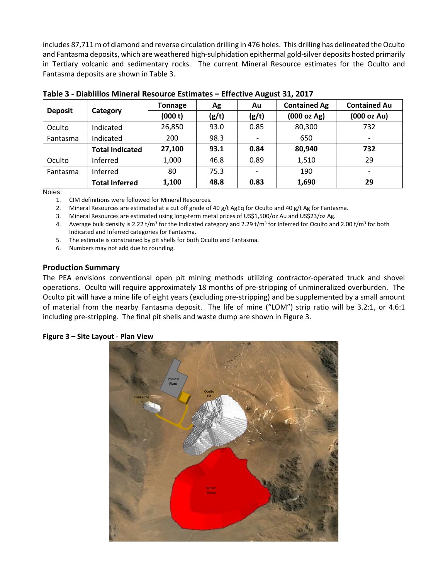includes 87,711 m of diamond and reverse circulation drilling in 476 holes. This drilling has delineated the Oculto and Fantasma deposits, which are weathered high-sulphidation epithermal gold-silver deposits hosted primarily in Tertiary volcanic and sedimentary rocks. The current Mineral Resource estimates for the Oculto and Fantasma deposits are shown in Table 3.

| <b>Deposit</b> | Category               | Tonnage | Ag    | Au                       | <b>Contained Ag</b> | <b>Contained Au</b>      |
|----------------|------------------------|---------|-------|--------------------------|---------------------|--------------------------|
|                |                        | (000 t) | (g/t) | (g/t)                    | (000 oz Ag)         | (000 oz Au)              |
| Oculto         | Indicated              | 26,850  | 93.0  | 0.85                     | 80,300              | 732                      |
| Fantasma       | Indicated              | 200     | 98.3  | $\overline{\phantom{a}}$ | 650                 | $\overline{\phantom{a}}$ |
|                | <b>Total Indicated</b> | 27,100  | 93.1  | 0.84                     | 80,940              | 732                      |
| Oculto         | Inferred               | 1,000   | 46.8  | 0.89                     | 1,510               | 29                       |
| Fantasma       | Inferred               | 80      | 75.3  | $\overline{\phantom{a}}$ | 190                 |                          |
|                | <b>Total Inferred</b>  | 1,100   | 48.8  | 0.83                     | 1,690               | 29                       |

| Table 3 - Diablillos Mineral Resource Estimates - Effective August 31, 2017 |  |  |  |
|-----------------------------------------------------------------------------|--|--|--|
|-----------------------------------------------------------------------------|--|--|--|

Notes:

1. CIM definitions were followed for Mineral Resources.

2. Mineral Resources are estimated at a cut off grade of 40 g/t AgEq for Oculto and 40 g/t Ag for Fantasma.

3. Mineral Resources are estimated using long-term metal prices of US\$1,500/oz Au and US\$23/oz Ag.

4. Average bulk density is 2.22 t/m<sup>3</sup> for the Indicated category and 2.29 t/m<sup>3</sup> for Inferred for Oculto and 2.00 t/m<sup>3</sup> for both Indicated and Inferred categories for Fantasma.

- 5. The estimate is constrained by pit shells for both Oculto and Fantasma.
- 6. Numbers may not add due to rounding.

# **Production Summary**

The PEA envisions conventional open pit mining methods utilizing contractor-operated truck and shovel operations. Oculto will require approximately 18 months of pre-stripping of unmineralized overburden. The Oculto pit will have a mine life of eight years (excluding pre-stripping) and be supplemented by a small amount of material from the nearby Fantasma deposit. The life of mine ("LOM") strip ratio will be 3.2:1, or 4.6:1 including pre-stripping. The final pit shells and waste dump are shown in Figure 3.

#### **Figure 3 – Site Layout - Plan View**

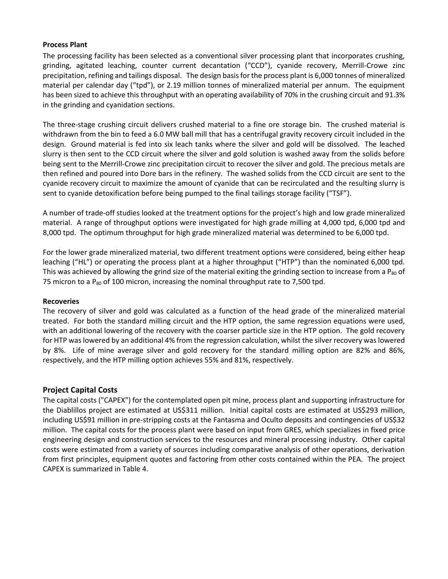#### **Process Plant**

The processing facility has been selected as a conventional silver processing plant that incorporates crushing, grinding, agitated leaching, counter current decantation ("CCD"), cyanide recovery, Merrill-Crowe zinc precipitation, refining and tailings disposal. The design basis for the process plant is 6,000 tonnes of mineralized material per calendar day ("tpd"), or 2.19 million tonnes of mineralized material per annum. The equipment has been sized to achieve this throughput with an operating availability of 70% in the crushing circuit and 91.3% in the grinding and cyanidation sections.

The three-stage crushing circuit delivers crushed material to a fine ore storage bin. The crushed material is withdrawn from the bin to feed a 6.0 MW ball mill that has a centrifugal gravity recovery circuit included in the design. Ground material is fed into six leach tanks where the silver and gold will be dissolved. The leached slurry is then sent to the CCD circuit where the silver and gold solution is washed away from the solids before being sent to the Merrill-Crowe zinc precipitation circuit to recover the silver and gold. The precious metals are then refined and poured into Dore bars in the refinery. The washed solids from the CCD circuit are sent to the cyanide recovery circuit to maximize the amount of cyanide that can be recirculated and the resulting slurry is sent to cyanide detoxification before being pumped to the final tailings storage facility ("TSF").

A number of trade-off studies looked at the treatment options for the project's high and low grade mineralized material. A range of throughput options were investigated for high grade milling at 4,000 tpd, 6,000 tpd and 8,000 tpd. The optimum throughput for high grade mineralized material was determined to be 6,000 tpd.

For the lower grade mineralized material, two different treatment options were considered, being either heap leaching ("HL") or operating the process plant at a higher throughput ("HTP") than the nominated 6,000 tpd. This was achieved by allowing the grind size of the material exiting the grinding section to increase from a  $P_{80}$  of 75 micron to a  $P_{80}$  of 100 micron, increasing the nominal throughput rate to 7,500 tpd.

# **Recoveries**

The recovery of silver and gold was calculated as a function of the head grade of the mineralized material treated. For both the standard milling circuit and the HTP option, the same regression equations were used, with an additional lowering of the recovery with the coarser particle size in the HTP option. The gold recovery for HTP was lowered by an additional 4% from the regression calculation, whilst the silver recovery was lowered by 8%. Life of mine average silver and gold recovery for the standard milling option are 82% and 86%, respectively, and the HTP milling option achieves 55% and 81%, respectively.

# **Project Capital Costs**

The capital costs ("CAPEX") for the contemplated open pit mine, process plant and supporting infrastructure for the Diablillos project are estimated at US\$311 million. Initial capital costs are estimated at US\$293 million, including US\$91 million in pre-stripping costs at the Fantasma and Oculto deposits and contingencies of US\$32 million. The capital costs for the process plant were based on input from GRES, which specializes in fixed price engineering design and construction services to the resources and mineral processing industry. Other capital costs were estimated from a variety of sources including comparative analysis of other operations, derivation from first principles, equipment quotes and factoring from other costs contained within the PEA. The project CAPEX is summarized in Table 4.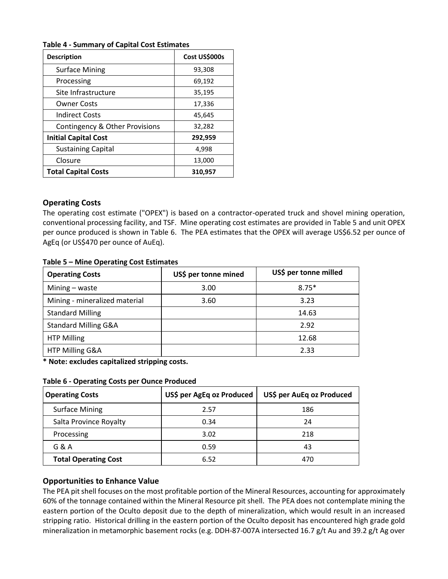# **Table 4 - Summary of Capital Cost Estimates**

| <b>Description</b>             | Cost US\$000s |
|--------------------------------|---------------|
| <b>Surface Mining</b>          | 93,308        |
| Processing                     | 69,192        |
| Site Infrastructure            | 35,195        |
| <b>Owner Costs</b>             | 17,336        |
| <b>Indirect Costs</b>          | 45,645        |
| Contingency & Other Provisions | 32,282        |
| <b>Initial Capital Cost</b>    | 292,959       |
| <b>Sustaining Capital</b>      | 4,998         |
| Closure                        | 13,000        |
| <b>Total Capital Costs</b>     | 310,957       |

# **Operating Costs**

The operating cost estimate ("OPEX") is based on a contractor-operated truck and shovel mining operation, conventional processing facility, and TSF. Mine operating cost estimates are provided in Table 5 and unit OPEX per ounce produced is shown in Table 6. The PEA estimates that the OPEX will average US\$6.52 per ounce of AgEq (or US\$470 per ounce of AuEq).

#### **Table 5 – Mine Operating Cost Estimates**

| <b>Operating Costs</b>          | US\$ per tonne mined | US\$ per tonne milled |
|---------------------------------|----------------------|-----------------------|
| Mining $-$ waste                | 3.00                 | $8.75*$               |
| Mining - mineralized material   | 3.60                 | 3.23                  |
| <b>Standard Milling</b>         |                      | 14.63                 |
| <b>Standard Milling G&amp;A</b> |                      | 2.92                  |
| <b>HTP Milling</b>              |                      | 12.68                 |
| HTP Milling G&A                 |                      | 2.33                  |

**\* Note: excludes capitalized stripping costs.**

#### **Table 6 - Operating Costs per Ounce Produced**

| <b>Operating Costs</b>      | US\$ per AgEq oz Produced | US\$ per AuEq oz Produced |
|-----------------------------|---------------------------|---------------------------|
| <b>Surface Mining</b>       | 2.57                      | 186                       |
| Salta Province Royalty      | 0.34                      | 24                        |
| Processing                  | 3.02                      | 218                       |
| G & A                       | 0.59                      | 43                        |
| <b>Total Operating Cost</b> | 6.52                      | 470                       |

# **Opportunities to Enhance Value**

The PEA pit shell focuses on the most profitable portion of the Mineral Resources, accounting for approximately 60% of the tonnage contained within the Mineral Resource pit shell. The PEA does not contemplate mining the eastern portion of the Oculto deposit due to the depth of mineralization, which would result in an increased stripping ratio. Historical drilling in the eastern portion of the Oculto deposit has encountered high grade gold mineralization in metamorphic basement rocks (e.g. DDH-87-007A intersected 16.7 g/t Au and 39.2 g/t Ag over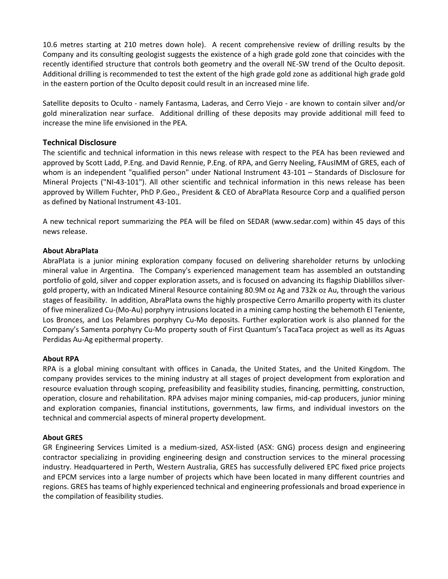10.6 metres starting at 210 metres down hole). A recent comprehensive review of drilling results by the Company and its consulting geologist suggests the existence of a high grade gold zone that coincides with the recently identified structure that controls both geometry and the overall NE-SW trend of the Oculto deposit. Additional drilling is recommended to test the extent of the high grade gold zone as additional high grade gold in the eastern portion of the Oculto deposit could result in an increased mine life.

Satellite deposits to Oculto - namely Fantasma, Laderas, and Cerro Viejo - are known to contain silver and/or gold mineralization near surface. Additional drilling of these deposits may provide additional mill feed to increase the mine life envisioned in the PEA.

# **Technical Disclosure**

The scientific and technical information in this news release with respect to the PEA has been reviewed and approved by Scott Ladd, P.Eng. and David Rennie, P.Eng. of RPA, and Gerry Neeling, FAusIMM of GRES, each of whom is an independent "qualified person" under National Instrument 43-101 – Standards of Disclosure for Mineral Projects ("NI-43-101"). All other scientific and technical information in this news release has been approved by Willem Fuchter, PhD P.Geo., President & CEO of AbraPlata Resource Corp and a qualified person as defined by National Instrument 43-101.

A new technical report summarizing the PEA will be filed on SEDAR (www.sedar.com) within 45 days of this news release.

#### **About AbraPlata**

AbraPlata is a junior mining exploration company focused on delivering shareholder returns by unlocking mineral value in Argentina. The Company's experienced management team has assembled an outstanding portfolio of gold, silver and copper exploration assets, and is focused on advancing its flagship Diablillos silvergold property, with an Indicated Mineral Resource containing 80.9M oz Ag and 732k oz Au, through the various stages of feasibility. In addition, AbraPlata owns the highly prospective Cerro Amarillo property with its cluster of five mineralized Cu-(Mo-Au) porphyry intrusions located in a mining camp hosting the behemoth El Teniente, Los Bronces, and Los Pelambres porphyry Cu-Mo deposits. Further exploration work is also planned for the Company's Samenta porphyry Cu-Mo property south of First Quantum's TacaTaca project as well as its Aguas Perdidas Au-Ag epithermal property.

# **About RPA**

RPA is a global mining consultant with offices in Canada, the United States, and the United Kingdom. The company provides services to the mining industry at all stages of project development from exploration and resource evaluation through scoping, prefeasibility and feasibility studies, financing, permitting, construction, operation, closure and rehabilitation. RPA advises major mining companies, mid-cap producers, junior mining and exploration companies, financial institutions, governments, law firms, and individual investors on the technical and commercial aspects of mineral property development.

#### **About GRES**

GR Engineering Services Limited is a medium-sized, ASX-listed (ASX: GNG) process design and engineering contractor specializing in providing engineering design and construction services to the mineral processing industry. Headquartered in Perth, Western Australia, GRES has successfully delivered EPC fixed price projects and EPCM services into a large number of projects which have been located in many different countries and regions. GRES has teams of highly experienced technical and engineering professionals and broad experience in the compilation of feasibility studies.